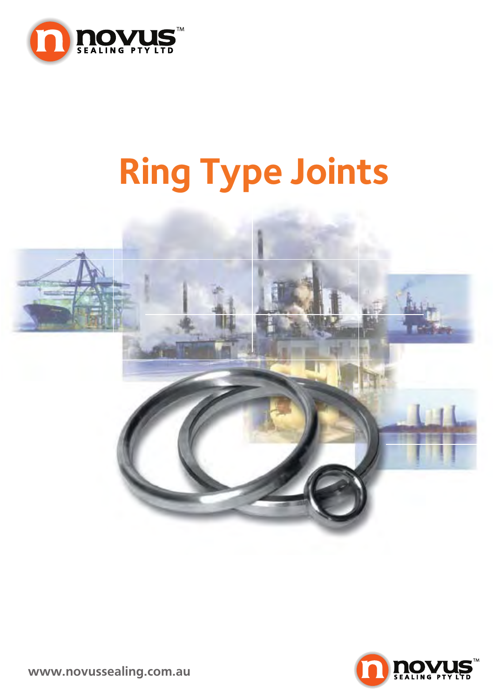

# **Ring Type Joints**





**www.novussealing.com.au**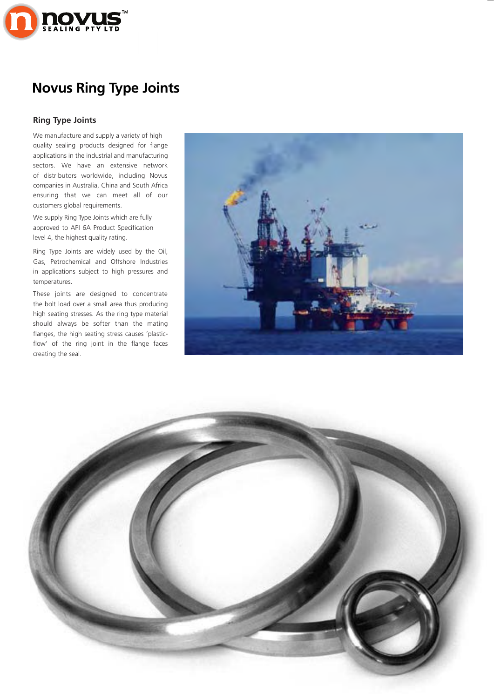

#### **Ring Type Joints**

We manufacture and supply a variety of high quality sealing products designed for flange applications in the industrial and manufacturing sectors. We have an extensive network of distributors worldwide, including Novus companies in Australia, China and South Africa ensuring that we can meet all of our customers global requirements.

We supply Ring Type Joints which are fully approved to API 6A Product Specification level 4, the highest quality rating.

Ring Type Joints are widely used by the Oil, Gas, Petrochemical and Offshore Industries in applications subject to high pressures and temperatures.

These joints are designed to concentrate the bolt load over a small area thus producing high seating stresses. As the ring type material should always be softer than the mating flanges, the high seating stress causes 'plasticflow' of the ring joint in the flange faces creating the seal.



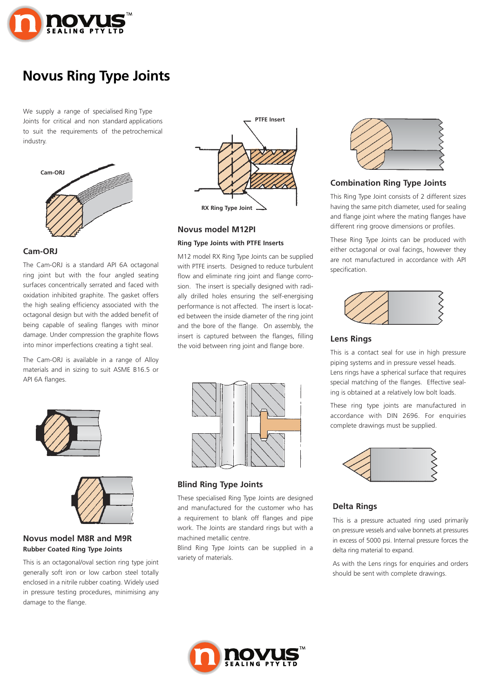

We supply a range of specialised Ring Type Joints for critical and non standard applications to suit the requirements of the petrochemical industry.



#### **Cam-ORJ**

The Cam-ORJ is a standard API 6A octagonal ring joint but with the four angled seating surfaces concentrically serrated and faced with oxidation inhibited graphite. The gasket offers the high sealing efficiency associated with the octagonal design but with the added benefit of being capable of sealing flanges with minor damage. Under compression the graphite flows into minor imperfections creating a tight seal.

The Cam-ORJ is available in a range of Alloy materials and in sizing to suit ASME B16.5 or API 6A flanges.



#### **Novus model M12PI**

#### **Ring Type Joints with PTFE Inserts**

M12 model RX Ring Type Joints can be supplied with PTFE inserts. Designed to reduce turbulent flow and eliminate ring joint and flange corrosion. The insert is specially designed with radially drilled holes ensuring the self-energising performance is not affected. The insert is located between the inside diameter of the ring joint and the bore of the flange. On assembly, the insert is captured between the flanges, filling the void between ring joint and flange bore.



#### **Combination Ring Type Joints**

This Ring Type Joint consists of 2 different sizes having the same pitch diameter, used for sealing and flange joint where the mating flanges have different ring groove dimensions or profiles.

These Ring Type Joints can be produced with either octagonal or oval facings, however they are not manufactured in accordance with API specification.



#### **Lens Rings**

This is a contact seal for use in high pressure piping systems and in pressure vessel heads. Lens rings have a spherical surface that requires special matching of the flanges. Effective sealing is obtained at a relatively low bolt loads.

These ring type joints are manufactured in accordance with DIN 2696. For enquiries complete drawings must be supplied.



#### **Delta Rings**

This is a pressure actuated ring used primarily on pressure vessels and valve bonnets at pressures in excess of 5000 psi. Internal pressure forces the delta ring material to expand.

As with the Lens rings for enquiries and orders should be sent with complete drawings.







**Novus model M8R and M9R Rubber Coated Ring Type Joints**

This is an octagonal/oval section ring type joint generally soft iron or low carbon steel totally enclosed in a nitrile rubber coating. Widely used in pressure testing procedures, minimising any damage to the flange.



**Blind Ring Type Joints**

These specialised Ring Type Joints are designed and manufactured for the customer who has a requirement to blank off flanges and pipe work. The Joints are standard rings but with a machined metallic centre.

Blind Ring Type Joints can be supplied in a variety of materials.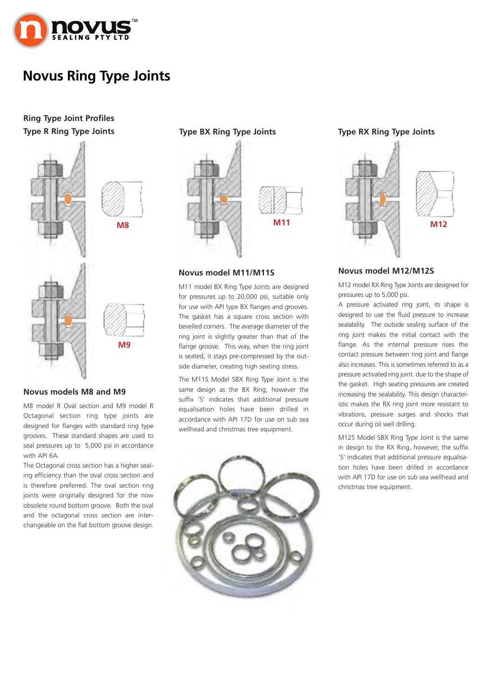

#### **Ring Type Joint Profiles Type R Ring Type Joints Type BX Ring Type Joints Type RX Ring Type Joints**



#### **Novus models M8 and M9**

M8 model R Oval section and M9 model R Octagonal section ring type joints are designed for flanges with standard ring type grooves. These standard shapes are used to seal pressures up to 5,000 psi in accordance with API 6A.

The Octagonal cross section has a higher sealing efficiency than the oval cross section and is therefore preferred. The oval section ring joints were originally designed for the now obsolete round bottom groove. Both the oval and the octagonal cross section are interchangeable on the flat bottom groove design.



#### **Novus model M11/M11S**

M11 model BX Ring Type Joints are designed for pressures up to 20,000 psi, suitable only for use with API type BX flanges and grooves. The gasket has a square cross section with bevelled corners. The average diameter of the ring joint is slightly greater than that of the flange groove. This way, when the ring joint is seated, it stays pre-compressed by the outside diameter, creating high seating stress.

The M11S Model SBX Ring Type Joint is the same design as the BX Ring, however the suffix 'S' indicates that additional pressure equalisation holes have been drilled in accordance with API 17D for use on sub sea wellhead and christmas tree equipment.





#### **Novus model M12/M12S**

M12 model RX Ring Type Joints are designed for pressures up to 5,000 psi.

A pressure activated ring joint, its shape is designed to use the fluid pressure to increase sealability. The outside sealing surface of the ring joint makes the initial contact with the flange. As the internal pressure rises the contact pressure between ring joint and flange also increases. This is sometimes referred to as a pressure activated ring joint. due to the shape of the gasket. High seating pressures are created increasing the sealability. This design characteristic makes the RX ring joint more resistant to vibrations, pressure surges and shocks that occur during oil well drilling.

M12S Model SBX Ring Type Joint is the same in design to the RX Ring, however, the suffix 'S' indicates that additional pressure equalisation holes have been drilled in accordance with API 17D for use on sub sea wellhead and christmas tree equipment.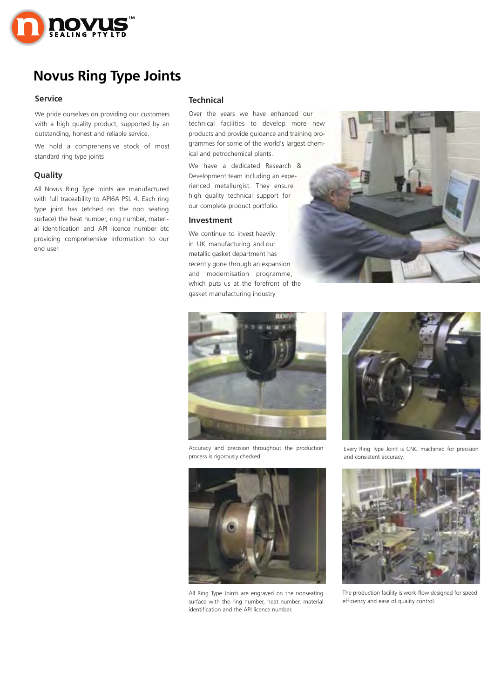

#### **Service**

We pride ourselves on providing our customers with a high quality product, supported by an outstanding, honest and reliable service.

We hold a comprehensive stock of most standard ring type joints

#### **Ring Number Quality**

with full traceability to API6A PSL 4. Each ring type joint has (etched on the non seating surface) the heat number, ring number, material identification and API licence number etc providing comprehensive information to our end user. All Novus Ring Type Joints are manufactured

#### **Technical**

grammes for some of the world's largest chem-Over the years we have enhanced our technical facilities to develop more new products and provide guidance and training proical and petrochemical plants.

13.5/8 our complete product portfolio. **Pressure Class Ratings** We have a dedicated Research & **Development team including an expe-**Ring Type Joints are manufactured in rienced metallurgist. They ensure  $\frac{1}{2}$ ch ring bigh quality technical support for

#### **Investment**

16 gasket manufacturing industry 469.90 We continue to invest heavily in UK manufacturing and our metallic gasket department has recently gone through an expansion and modernisation programme, which puts us at the forefront of the





Accuracy and precision throughout the production process is rigorously checked.



26 identification and the API licence number. All Ring Type Joints are engraved on the nonseating surface with the ring number, heat number, material



Every Ring Type Joint is CNC machined for precision and consistent accuracy.



 $\frac{1}{2}$  identity is workefficiency and ease of quality control. 16.<br>355 | Julie 1 The production facility is work-flow designed for speed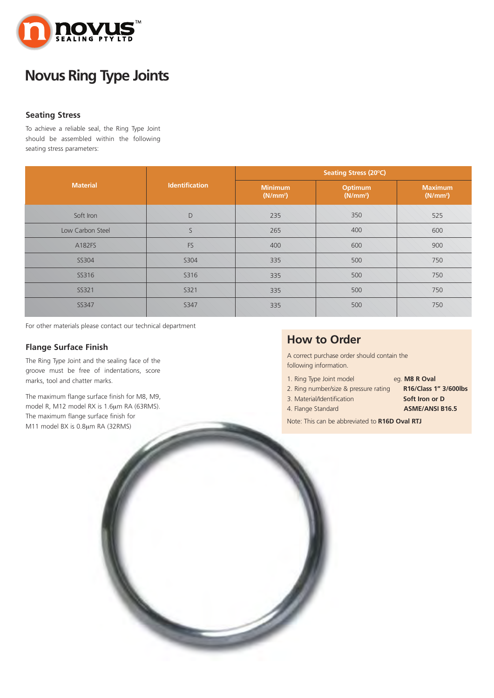

#### **Seating Stress**

To achieve a reliable seal, the Ring Type Joint should be assembled within the following seating stress parameters:

|                  |                       | Seating Stress (20°C)                  |                                 |                                        |  |  |  |  |  |  |
|------------------|-----------------------|----------------------------------------|---------------------------------|----------------------------------------|--|--|--|--|--|--|
| <b>Material</b>  | <b>Identification</b> | <b>Minimum</b><br>(N/mm <sup>2</sup> ) | Optimum<br>(N/mm <sup>2</sup> ) | <b>Maximum</b><br>(N/mm <sup>2</sup> ) |  |  |  |  |  |  |
| Soft Iron        | D                     | 235                                    | 350                             | 525                                    |  |  |  |  |  |  |
| Low Carbon Steel | S                     | 265                                    | 400                             | 600                                    |  |  |  |  |  |  |
| A182FS           | <b>FS</b>             | 400                                    | 600                             | 900                                    |  |  |  |  |  |  |
| SS304            | S304                  | 335                                    | 500                             | 750                                    |  |  |  |  |  |  |
| SS316            | S316                  | 335                                    | 500                             | 750                                    |  |  |  |  |  |  |
| SS321            | S321                  | 335                                    | 500                             | 750                                    |  |  |  |  |  |  |
| <b>SS347</b>     | <b>S347</b>           | 335                                    | 500                             | 750                                    |  |  |  |  |  |  |

For other materials please contact our technical department

#### **Flange Surface Finish**

The Ring Type Joint and the sealing face of the groove must be free of indentations, score marks, tool and chatter marks.

The maximum flange surface finish for M8, M9, model R, M12 model RX is 1.6μm RA (63RMS). The maximum flange surface finish for M11 model BX is 0.8μm RA (32RMS)

### **How to Order**

A correct purchase order should contain the following information.

- 1. Ring Type Joint model eg. **M8 R Oval**
- 2. Ring number/size & pressure rating **R16/Class 1" 3/600lbs**
	-
- 3. Material/Identification **Soft Iron or D**
- -
- 4. Flange Standard **ASME/ANSI B16.5**
- Note: This can be abbreviated to **R16D Oval RTJ**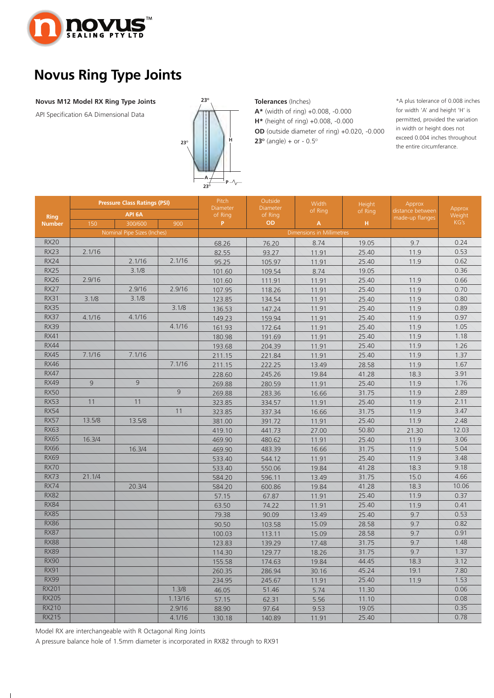

#### **Novus M12 Model RX Ring Type Joints**

API Specification 6A Dimensional Data



#### **Tolerances** (Inches)

**A\*** (width of ring) +0.008, -0.000 **H\*** (height of ring) +0.008, -0.000 **OD** (outside diameter of ring) +0.020, -0.000 **23<sup>o</sup>** (angle) + or -  $0.5^\circ$ 

\*A plus tolerance of 0.008 inches for width 'A' and height 'H' is permitted, provided the variation in width or height does not exceed 0.004 inches throughout the entire circumferance.

|               |        | <b>Pressure Class Ratings (PSI)</b> |         | Pitch               | Outside<br>Diameter | Width                            | Height  | Approx           |                  |  |  |  |
|---------------|--------|-------------------------------------|---------|---------------------|---------------------|----------------------------------|---------|------------------|------------------|--|--|--|
| <b>Ring</b>   |        | API <sub>6A</sub>                   |         | Diameter<br>of Ring | of Ring             | of Ring                          | of Ring | distance between | Approx<br>Weight |  |  |  |
| <b>Number</b> | 150    | 300/600                             | 900     | P                   | <b>OD</b>           | $\boldsymbol{\mathsf{A}}$        | H       | made-up flanges  | KG's             |  |  |  |
|               |        | Nominal Pipe Sizes (Inches)         |         |                     |                     | <b>Dimensions in Millimetres</b> |         |                  |                  |  |  |  |
| <b>RX20</b>   |        |                                     |         | 68.26               | 76.20               | 8.74                             | 19.05   | 9.7              | 0.24             |  |  |  |
| <b>RX23</b>   | 2.1/16 |                                     |         | 82.55               | 93.27               | 11.91                            | 25.40   | 11.9             | 0.53             |  |  |  |
| <b>RX24</b>   |        | 2.1/16                              | 2.1/16  | 95.25               | 105.97              | 11.91                            | 25.40   | 11.9             | 0.62             |  |  |  |
| <b>RX25</b>   |        | 3.1/8                               |         | 101.60              | 109.54              | 8.74                             | 19.05   |                  | 0.36             |  |  |  |
| <b>RX26</b>   | 2.9/16 |                                     |         | 101.60              | 111.91              | 11.91                            | 25.40   | 11.9             | 0.66             |  |  |  |
| <b>RX27</b>   |        | 2.9/16                              | 2.9/16  | 107.95              | 118.26              | 11.91                            | 25.40   | 11.9             | 0.70             |  |  |  |
| <b>RX31</b>   | 3.1/8  | 3.1/8                               |         | 123.85              | 134.54              | 11.91                            | 25.40   | 11.9             | 0.80             |  |  |  |
| <b>RX35</b>   |        |                                     | 3.1/8   | 136.53              | 147.24              | 11.91                            | 25.40   | 11.9             | 0.89             |  |  |  |
| <b>RX37</b>   | 4.1/16 | 4.1/16                              |         | 149.23              | 159.94              | 11.91                            | 25.40   | 11.9             | 0.97             |  |  |  |
| <b>RX39</b>   |        |                                     | 4.1/16  | 161.93              | 172.64              | 11.91                            | 25.40   | 11.9             | 1.05             |  |  |  |
| <b>RX41</b>   |        |                                     |         | 180.98              | 191.69              | 11.91                            | 25.40   | 11.9             | 1.18             |  |  |  |
| <b>RX44</b>   |        |                                     |         | 193.68              | 204.39              | 11.91                            | 25.40   | 11.9             | 1.26             |  |  |  |
| <b>RX45</b>   | 7.1/16 | 7.1/16                              |         | 211.15              | 221.84              | 11.91                            | 25.40   | 11.9             | 1.37             |  |  |  |
| <b>RX46</b>   |        |                                     | 7.1/16  | 211.15              | 222.25              | 13.49                            | 28.58   | 11.9             | 1.67             |  |  |  |
| <b>RX47</b>   |        |                                     |         | 228.60              | 245.26              | 19.84                            | 41.28   | 18.3             | 3.91             |  |  |  |
| <b>RX49</b>   | 9      | 9                                   |         | 269.88              | 280.59              | 11.91                            | 25.40   | 11.9             | 1.76             |  |  |  |
| <b>RX50</b>   |        |                                     | 9       | 269.88              | 283.36              | 16.66                            | 31.75   | 11.9             | 2.89             |  |  |  |
| <b>RX53</b>   | 11     | 11                                  |         | 323.85              | 334.57              | 11.91                            | 25.40   | 11.9             | 2.11             |  |  |  |
| <b>RX54</b>   |        |                                     | 11      | 323.85              | 337.34              | 16.66                            | 31.75   | 11.9             | 3.47             |  |  |  |
| <b>RX57</b>   | 13.5/8 | 13.5/8                              |         | 381.00              | 391.72              | 11.91                            | 25.40   | 11.9             | 2.48             |  |  |  |
| <b>RX63</b>   |        |                                     |         | 419.10              | 441.73              | 27.00                            | 50.80   | 21.30            | 12.03            |  |  |  |
| <b>RX65</b>   | 16.3/4 |                                     |         | 469.90              | 480.62              | 11.91                            | 25.40   | 11.9             | 3.06             |  |  |  |
| <b>RX66</b>   |        | 16.3/4                              |         | 469.90              | 483.39              | 16.66                            | 31.75   | 11.9             | 5.04             |  |  |  |
| <b>RX69</b>   |        |                                     |         | 533.40              | 544.12              | 11.91                            | 25.40   | 11.9             | 3.48             |  |  |  |
| <b>RX70</b>   |        |                                     |         | 533.40              | 550.06              | 19.84                            | 41.28   | 18.3             | 9.18             |  |  |  |
| <b>RX73</b>   | 21.1/4 |                                     |         | 584.20              | 596.11              | 13.49                            | 31.75   | 15.0             | 4.66             |  |  |  |
| <b>RX74</b>   |        | 20.3/4                              |         | 584.20              | 600.86              | 19.84                            | 41.28   | 18.3             | 10.06            |  |  |  |
| <b>RX82</b>   |        |                                     |         | 57.15               | 67.87               | 11.91                            | 25.40   | 11.9             | 0.37             |  |  |  |
| <b>RX84</b>   |        |                                     |         | 63.50               | 74.22               | 11.91                            | 25.40   | 11.9             | 0.41             |  |  |  |
| <b>RX85</b>   |        |                                     |         | 79.38               | 90.09               | 13.49                            | 25.40   | 9.7              | 0.53             |  |  |  |
| <b>RX86</b>   |        |                                     |         | 90.50               | 103.58              | 15.09                            | 28.58   | 9.7              | 0.82             |  |  |  |
| <b>RX87</b>   |        |                                     |         | 100.03              | 113.11              | 15.09                            | 28.58   | 9.7              | 0.91             |  |  |  |
| <b>RX88</b>   |        |                                     |         | 123.83              | 139.29              | 17.48                            | 31.75   | 9.7              | 1.48             |  |  |  |
| <b>RX89</b>   |        |                                     |         | 114.30              | 129.77              | 18.26                            | 31.75   | 9.7              | 1.37             |  |  |  |
| <b>RX90</b>   |        |                                     |         | 155.58              | 174.63              | 19.84                            | 44.45   | 18.3             | 3.12             |  |  |  |
| <b>RX91</b>   |        |                                     |         | 260.35              | 286.94              | 30.16                            | 45.24   | 19.1             | 7.80             |  |  |  |
| <b>RX99</b>   |        |                                     |         | 234.95              | 245.67              | 11.91                            | 25.40   | 11.9             | 1.53             |  |  |  |
| <b>RX201</b>  |        |                                     | 1.3/8   | 46.05               | 51.46               | 5.74                             | 11.30   |                  | 0.06             |  |  |  |
| <b>RX205</b>  |        |                                     | 1.13/16 | 57.15               | 62.31               | 5.56                             | 11.10   |                  | 0.08             |  |  |  |
| <b>RX210</b>  |        |                                     | 2.9/16  | 88.90               | 97.64               | 9.53                             | 19.05   |                  | 0.35             |  |  |  |
| <b>RX215</b>  |        |                                     | 4.1/16  | 130.18              | 140.89              | 11.91                            | 25.40   |                  | 0.78             |  |  |  |

Model RX are interchangeable with R Octagonal Ring Joints

 $\perp$ 

A pressure balance hole of 1.5mm diameter is incorporated in RX82 through to RX91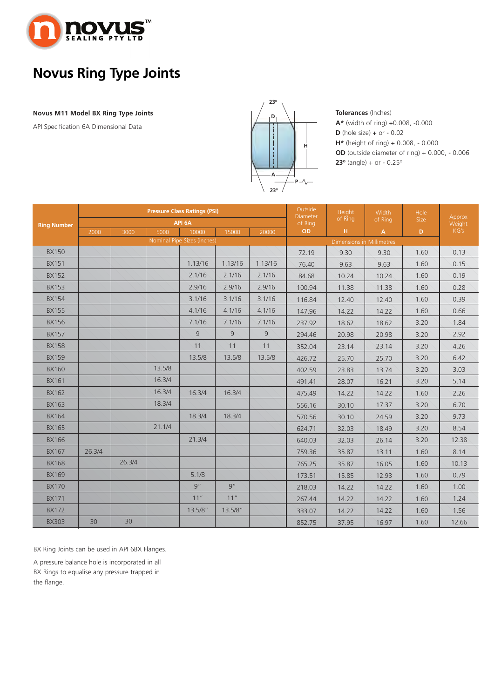

#### **<sup>D</sup> Novus M11 Model BX Ring Type Joints**

API Specification 6A Dimensional Data



**Tolerances** (Inches) **A\*** (width of ring) +0.008, -0.000 **D** (hole size) + or - 0.02 **H\*** (height of ring) + 0.008, - 0.000 **OD** (outside diameter of ring) + 0.000, - 0.006 **23** $\degree$  (angle) + or - 0.25 $\degree$ 

|                    |        |        |        | <b>Pressure Class Ratings (PSI)</b> |         | Outside<br>Diameter | Height                           | <b>Width</b> | <b>Hole</b>    | Approx |        |  |
|--------------------|--------|--------|--------|-------------------------------------|---------|---------------------|----------------------------------|--------------|----------------|--------|--------|--|
| <b>Ring Number</b> |        |        |        | API 6A                              |         |                     | of Ring                          | of Ring      | of Ring        | Size   | Weight |  |
|                    | 2000   | 3000   | 5000   | 10000                               | 15000   | 20000               |                                  | H            | $\overline{A}$ | D.     | KG's   |  |
|                    |        |        |        | Nominal Pipe Sizes (inches)         |         |                     | <b>Dimensions in Millimetres</b> |              |                |        |        |  |
| <b>BX150</b>       |        |        |        |                                     |         |                     | 72.19                            | 9.30         | 9.30           | 1.60   | 0.13   |  |
| <b>BX151</b>       |        |        |        | 1.13/16                             | 1.13/16 | 1.13/16             | 76.40                            | 9.63         | 9.63           | 1.60   | 0.15   |  |
| <b>BX152</b>       |        |        |        | 2.1/16                              | 2.1/16  | 2.1/16              | 84.68                            | 10.24        | 10.24          | 1.60   | 0.19   |  |
| <b>BX153</b>       |        |        |        | 2.9/16                              | 2.9/16  | 2.9/16              | 100.94                           | 11.38        | 11.38          | 1.60   | 0.28   |  |
| <b>BX154</b>       |        |        |        | 3.1/16                              | 3.1/16  | 3.1/16              | 116.84                           | 12.40        | 12.40          | 1.60   | 0.39   |  |
| <b>BX155</b>       |        |        |        | 4.1/16                              | 4.1/16  | 4.1/16              | 147.96                           | 14.22        | 14.22          | 1.60   | 0.66   |  |
| <b>BX156</b>       |        |        |        | 7.1/16                              | 7.1/16  | 7.1/16              | 237.92                           | 18.62        | 18.62          | 3.20   | 1.84   |  |
| <b>BX157</b>       |        |        |        | 9                                   | 9       | 9                   | 294.46                           | 20.98        | 20.98          | 3.20   | 2.92   |  |
| <b>BX158</b>       |        |        |        | 11                                  | 11      | 11                  | 352.04                           | 23.14        | 23.14          | 3.20   | 4.26   |  |
| <b>BX159</b>       |        |        |        | 13.5/8                              | 13.5/8  | 13.5/8              | 426.72                           | 25.70        | 25.70          | 3.20   | 6.42   |  |
| <b>BX160</b>       |        |        | 13.5/8 |                                     |         |                     | 402.59                           | 23.83        | 13.74          | 3.20   | 3.03   |  |
| <b>BX161</b>       |        |        | 16.3/4 |                                     |         |                     | 491.41                           | 28.07        | 16.21          | 3.20   | 5.14   |  |
| <b>BX162</b>       |        |        | 16.3/4 | 16.3/4                              | 16.3/4  |                     | 475.49                           | 14.22        | 14.22          | 1.60   | 2.26   |  |
| <b>BX163</b>       |        |        | 18.3/4 |                                     |         |                     | 556.16                           | 30.10        | 17.37          | 3.20   | 6.70   |  |
| <b>BX164</b>       |        |        |        | 18.3/4                              | 18.3/4  |                     | 570.56                           | 30.10        | 24.59          | 3.20   | 9.73   |  |
| <b>BX165</b>       |        |        | 21.1/4 |                                     |         |                     | 624.71                           | 32.03        | 18.49          | 3.20   | 8.54   |  |
| <b>BX166</b>       |        |        |        | 21.3/4                              |         |                     | 640.03                           | 32.03        | 26.14          | 3.20   | 12.38  |  |
| <b>BX167</b>       | 26.3/4 |        |        |                                     |         |                     | 759.36                           | 35.87        | 13.11          | 1.60   | 8.14   |  |
| <b>BX168</b>       |        | 26.3/4 |        |                                     |         |                     | 765.25                           | 35.87        | 16.05          | 1.60   | 10.13  |  |
| <b>BX169</b>       |        |        |        | 5.1/8                               |         |                     | 173.51                           | 15.85        | 12.93          | 1.60   | 0.79   |  |
| <b>BX170</b>       |        |        |        | q''                                 | q''     |                     | 218.03                           | 14.22        | 14.22          | 1.60   | 1.00   |  |
| <b>BX171</b>       |        |        |        | 11"                                 | 11"     |                     | 267.44                           | 14.22        | 14.22          | 1.60   | 1.24   |  |
| <b>BX172</b>       |        |        |        | 13.5/8"                             | 13.5/8" |                     | 333.07                           | 14.22        | 14.22          | 1.60   | 1.56   |  |
| <b>BX303</b>       | 30     | 30     |        |                                     |         |                     | 852.75                           | 37.95        | 16.97          | 1.60   | 12.66  |  |

BX Ring Joints can be used in API 6BX Flanges.

A pressure balance hole is incorporated in all BX Rings to equalise any pressure trapped in the flange.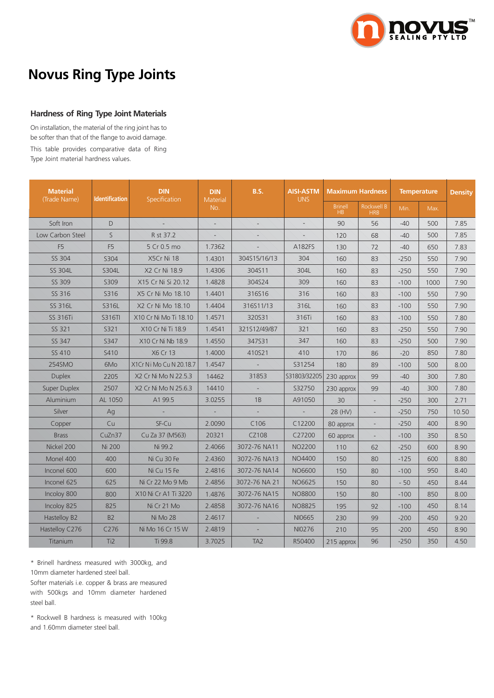

#### **Hardness of Ring Type Joint Materials**

On installation, the material of the ring joint has to be softer than that of the flange to avoid damage. This table provides comparative data of Ring Type Joint material hardness values.

| <b>Material</b>  |                 | <b>DIN</b>              | <b>DIN</b>      | <b>B.S.</b>              | <b>AISI-ASTM</b> | <b>Maximum Hardness</b>          |                          | <b>Temperature</b> | <b>Density</b> |       |
|------------------|-----------------|-------------------------|-----------------|--------------------------|------------------|----------------------------------|--------------------------|--------------------|----------------|-------|
| (Trade Name)     | Identification  | Specification           | Material<br>No. |                          | <b>UNS</b>       | <b>Brinell</b><br>H <sub>B</sub> | Rockwell B<br><b>HRB</b> | Min.               | Max.           |       |
| Soft Iron        | D               |                         |                 |                          |                  | 90                               | 56                       | $-40$              | 500            | 7.85  |
| Low Carbon Steel | $\mathsf{S}$    | R st 37.2               |                 |                          |                  | 120                              | 68                       | $-40$              | 500            | 7.85  |
| F <sub>5</sub>   | F <sub>5</sub>  | 5 Cr 0.5 mo             | 1.7362          |                          | A182FS           | 130                              | 72                       | $-40$              | 650            | 7.83  |
| SS 304           | S304            | X5Cr Ni 18              | 1.4301          | 304S15/16/13             | 304              | 160                              | 83                       | $-250$             | 550            | 7.90  |
| SS 304L          | S304L           | X2 Cr Ni 18.9           | 1.4306          | 304S11                   | 304L             | 160                              | 83                       | $-250$             | 550            | 7.90  |
| SS 309           | S309            | X15 Cr Ni Si 20.12      | 1.4828          | 304S24                   | 309              | 160                              | 83                       | $-100$             | 1000           | 7.90  |
| SS 316           | S316            | X5 Cr Ni Mo 18.10       | 1.4401          | 316S16                   | 316              | 160                              | 83                       | $-100$             | 550            | 7.90  |
| SS 316L          | S316L           | X2 Cr Ni Mo 18.10       | 1.4404          | 316S11/13                | 316L             | 160                              | 83                       | $-100$             | 550            | 7.90  |
| <b>SS 316Ti</b>  | S316TI          | X10 Cr Ni Mo Ti 18.10   | 1.4571          | 320S31                   | 316Ti            | 160                              | 83                       | $-100$             | 550            | 7.80  |
| SS 321           | S321            | X10 Cr Ni Ti 18.9       | 1.4541          | 321512/49/87             | 321              | 160                              | 83                       | $-250$             | 550            | 7.90  |
| SS 347           | S347            | X10 Cr Ni Nb 18.9       | 1.4550          | 347531                   | 347              | 160                              | 83                       | $-250$             | 500            | 7.90  |
| SS 410           | S410            | X6 Cr 13                | 1.4000          | 410S21                   | 410              | 170                              | 86                       | $-20$              | 850            | 7.80  |
| 254SMO           | 6Mo             | X1Cr Ni Mo Cu N 20.18.7 | 1.4547          |                          | S31254           | 180                              | 89                       | $-100$             | 500            | 8.00  |
| <b>Duplex</b>    | 2205            | X2 Cr Ni Mo N 22.5.3    | 14462           | 31853                    | S31803/32205     | 230 approx                       | 99                       | $-40$              | 300            | 7.80  |
| Super Duplex     | 2507            | X2 Cr Ni Mo N 25.6.3    | 14410           | $\overline{\phantom{a}}$ | S32750           | 230 approx                       | 99                       | $-40$              | 300            | 7.80  |
| Aluminium        | AL 1050         | A1 99.5                 | 3.0255          | 1B                       | A91050           | 30                               |                          | $-250$             | 300            | 2.71  |
| Silver           | Ag              |                         |                 |                          | ┶                | 28 (HV)                          | L.                       | $-250$             | 750            | 10.50 |
| Copper           | Cu              | SF-Cu                   | 2.0090          | C106                     | C12200           | 80 approx                        |                          | $-250$             | 400            | 8.90  |
| <b>Brass</b>     | CuZn37          | Cu Za 37 (M563)         | 20321           | CZ108                    | C27200           | 60 approx                        |                          | $-100$             | 350            | 8.50  |
| Nickel 200       | <b>Ni 200</b>   | Ni 99.2                 | 2.4066          | 3072-76 NA11             | <b>NO2200</b>    | 110                              | 62                       | $-250$             | 600            | 8.90  |
| Monel 400        | 400             | Ni Cu 30 Fe             | 2.4360          | 3072-76 NA13             | NO4400           | 150                              | 80                       | $-125$             | 600            | 8.80  |
| Inconel 600      | 600             | Ni Cu 15 Fe             | 2.4816          | 3072-76 NA14             | NO6600           | 150                              | 80                       | $-100$             | 950            | 8.40  |
| Inconel 625      | 625             | Ni Cr 22 Mo 9 Mb        | 2.4856          | 3072-76 NA 21            | NO6625           | 150                              | 80                       | $-50$              | 450            | 8.44  |
| Incoloy 800      | 800             | X10 Ni Cr A1 Ti 3220    | 1.4876          | 3072-76 NA15             | <b>NO8800</b>    | 150                              | 80                       | $-100$             | 850            | 8.00  |
| Incoloy 825      | 825             | Ni Cr 21 Mo             | 2.4858          | 3072-76 NA16             | <b>NO8825</b>    | 195                              | 92                       | $-100$             | 450            | 8.14  |
| Hastelloy B2     | <b>B2</b>       | Ni Mo 28                | 2.4617          |                          | NI0665           | 230                              | 99                       | $-200$             | 450            | 9.20  |
| Hastelloy C276   | C276            | Ni Mo 16 Cr 15 W        | 2.4819          |                          | NI0276           | 210                              | 95                       | $-200$             | 450            | 8.90  |
| Titanium         | Ti <sub>2</sub> | Ti 99.8                 | 3.7025          | TA <sub>2</sub>          | R50400           | 215 approx                       | 96                       | $-250$             | 350            | 4.50  |

\* Brinell hardness measured with 3000kg, and 10mm diameter hardened steel ball. Softer materials i.e. copper & brass are measured with 500kgs and 10mm diameter hardened steel ball.

\* Rockwell B hardness is measured with 100kg and 1.60mm diameter steel ball.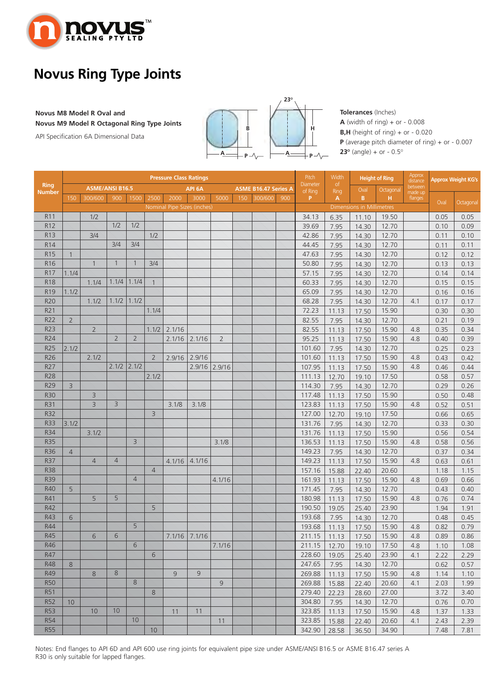

#### **Novus M8 Model R Oval and Novus M9 Model R Octagonal Ring Type Joints**

API Specification 6A Dimensional Data



**Tolerances** (Inches)  $A$  (width of ring) + or - 0.008 **B,H** (height of ring) + or - 0.020 **P** (average pitch diameter of ring) + or - 0.007 **23<sup>o</sup>** (angle) + or -  $0.5^\circ$ 

|                              |                |                        |                |                |                | <b>Pressure Class Ratings</b> |                 | Pitch          | Width |                             | <b>Height of Ring</b> |                     | <b>Approx Weight KG's</b> |                           |           |                                |      |           |
|------------------------------|----------------|------------------------|----------------|----------------|----------------|-------------------------------|-----------------|----------------|-------|-----------------------------|-----------------------|---------------------|---------------------------|---------------------------|-----------|--------------------------------|------|-----------|
| <b>Ring</b><br><b>Number</b> |                | <b>ASME/ANSI B16.5</b> |                |                |                | API <sub>6</sub> A            |                 |                |       | <b>ASME B16.47 Series A</b> |                       | Diameter<br>of Ring | of<br>Ring                | Oval                      | Octagonal | distance<br>between<br>made up |      |           |
|                              | 150            | 300/600                | 900            | 1500           | 2500           | 2000                          | 3000            | 5000           | 150   | 300/600                     | 900                   | P                   | A                         | B                         | H.        | flanges                        | Oval | Octagonal |
|                              |                |                        |                |                |                | Nominal Pipe Sizes (inches)   |                 |                |       |                             |                       |                     |                           | Dimensions in Millimetres |           |                                |      |           |
| R11                          |                | 1/2                    |                |                |                |                               |                 |                |       |                             |                       | 34.13               | 6.35                      | 11.10                     | 19.50     |                                | 0.05 | 0.05      |
| R12                          |                |                        | 1/2            | 1/2            |                |                               |                 |                |       |                             |                       | 39.69               | 7.95                      | 14.30                     | 12.70     |                                | 0.10 | 0.09      |
| <b>R13</b>                   |                | 3/4                    |                |                | 1/2            |                               |                 |                |       |                             |                       | 42.86               | 7.95                      | 14.30                     | 12.70     |                                | 0.11 | 0.10      |
| R14                          |                |                        | 3/4            | 3/4            |                |                               |                 |                |       |                             |                       | 44.45               | 7.95                      | 14.30                     | 12.70     |                                | 0.11 | 0.11      |
| <b>R15</b>                   | $\mathbf{1}$   |                        |                |                |                |                               |                 |                |       |                             |                       | 47.63               | 7.95                      | 14.30                     | 12.70     |                                | 0.12 | 0.12      |
| R <sub>16</sub>              |                | $\mathbf{1}$           | $\mathbf{1}$   | $\overline{1}$ | 3/4            |                               |                 |                |       |                             |                       | 50.80               | 7.95                      | 14.30                     | 12.70     |                                | 0.13 | 0.13      |
| R17                          | 1.1/4          |                        |                |                |                |                               |                 |                |       |                             |                       | 57.15               | 7.95                      | 14.30                     | 12.70     |                                | 0.14 | 0.14      |
| <b>R18</b>                   |                | 1.1/4                  | 1.1/4          | 1.1/4          | $\overline{1}$ |                               |                 |                |       |                             |                       | 60.33               | 7.95                      | 14.30                     | 12.70     |                                | 0.15 | 0.15      |
| R <sub>19</sub>              | 1.1/2          |                        |                |                |                |                               |                 |                |       |                             |                       | 65.09               | 7.95                      | 14.30                     | 12.70     |                                | 0.16 | 0.16      |
| <b>R20</b>                   |                | 1.1/2                  | 1.1/2          | 1.1/2          |                |                               |                 |                |       |                             |                       | 68.28               | 7.95                      | 14.30                     | 12.70     | 4.1                            | 0.17 | 0.17      |
| R21                          |                |                        |                |                | 1.1/4          |                               |                 |                |       |                             |                       | 72.23               | 11.13                     | 17.50                     | 15.90     |                                | 0.30 | 0.30      |
| <b>R22</b>                   | $\overline{2}$ |                        |                |                |                |                               |                 |                |       |                             |                       | 82.55               | 7.95                      | 14.30                     | 12.70     |                                | 0.21 | 0.19      |
| R23                          |                | $\overline{2}$         |                |                | 1.1/2          | 2.1/16                        |                 |                |       |                             |                       | 82.55               | 11.13                     | 17.50                     | 15.90     | 4.8                            | 0.35 | 0.34      |
| R24                          |                |                        | $\overline{2}$ | $\overline{2}$ |                | 2.1/16                        | 2.1/16          | $\overline{2}$ |       |                             |                       | 95.25               | 11.13                     | 17.50                     | 15.90     | 4.8                            | 0.40 | 0.39      |
| <b>R25</b>                   | 2.1/2          |                        |                |                |                |                               |                 |                |       |                             |                       | 101.60              | 7.95                      | 14.30                     | 12.70     |                                | 0.25 | 0.23      |
| R26                          |                | 2.1/2                  |                |                | $\overline{2}$ | 2.9/16                        | 2.9/16          |                |       |                             |                       | 101.60              | 11.13                     | 17.50                     | 15.90     | 4.8                            | 0.43 | 0.42      |
| R27                          |                |                        | 2.1/2          | 2.1/2          |                |                               | 2.9/16          | 2.9/16         |       |                             |                       | 107.95              | 11.13                     | 17.50                     | 15.90     | 4.8                            | 0.46 | 0.44      |
| <b>R28</b>                   |                |                        |                |                | 2.1/2          |                               |                 |                |       |                             |                       | 111.13              | 12.70                     | 19.10                     | 17.50     |                                | 0.58 | 0.57      |
| <b>R29</b>                   | $\overline{3}$ |                        |                |                |                |                               |                 |                |       |                             |                       | 114.30              | 7.95                      | 14.30                     | 12.70     |                                | 0.29 | 0.26      |
| <b>R30</b>                   |                | 3                      |                |                |                |                               |                 |                |       |                             |                       | 117.48              | 11.13                     | 17.50                     | 15.90     |                                | 0.50 | 0.48      |
| <b>R31</b>                   |                | $\overline{3}$         | $\overline{3}$ |                |                | 3.1/8                         | 3.1/8           |                |       |                             |                       | 123.83              | 11.13                     | 17.50                     | 15.90     | 4.8                            | 0.52 | 0.51      |
| <b>R32</b>                   |                |                        |                |                | $\overline{3}$ |                               |                 |                |       |                             |                       | 127.00              | 12.70                     | 19.10                     | 17.50     |                                | 0.66 | 0.65      |
| <b>R33</b>                   | 3.1/2          |                        |                |                |                |                               |                 |                |       |                             |                       | 131.76              | 7.95                      | 14.30                     | 12.70     |                                | 0.33 | 0.30      |
| R34                          |                | 3.1/2                  |                |                |                |                               |                 |                |       |                             |                       | 131.76              | 11.13                     | 17.50                     | 15.90     |                                | 0.56 | 0.54      |
| <b>R35</b>                   |                |                        |                | $\overline{3}$ |                |                               |                 | 3.1/8          |       |                             |                       | 136.53              | 11.13                     | 17.50                     | 15.90     | 4.8                            | 0.58 | 0.56      |
| <b>R36</b>                   | $\overline{4}$ |                        |                |                |                |                               |                 |                |       |                             |                       | 149.23              | 7.95                      | 14.30                     | 12.70     |                                | 0.37 | 0.34      |
| R37                          |                | $\overline{4}$         | $\overline{4}$ |                |                | 4.1/16                        | 4.1/16          |                |       |                             |                       | 149.23              | 11.13                     | 17.50                     | 15.90     | 4.8                            | 0.63 | 0.61      |
| <b>R38</b>                   |                |                        |                |                | $\overline{4}$ |                               |                 |                |       |                             |                       | 157.16              | 15.88                     | 22.40                     | 20.60     |                                | 1.18 | 1.15      |
| <b>R39</b>                   |                |                        |                | $\overline{4}$ |                |                               |                 | 4.1/16         |       |                             |                       | 161.93              | 11.13                     | 17.50                     | 15.90     | 4.8                            | 0.69 | 0.66      |
| R40                          | 5              |                        |                |                |                |                               |                 |                |       |                             |                       | 171.45              | 7.95                      | 14.30                     | 12.70     |                                | 0.43 | 0.40      |
| R41                          |                | 5                      | 5              |                |                |                               |                 |                |       |                             |                       | 180.98              | 11.13                     | 17.50                     | 15.90     | 4.8                            | 0.76 | 0.74      |
| R42                          |                |                        |                |                | 5              |                               |                 |                |       |                             |                       | 190.50              | 19.05                     | 25.40                     | 23.90     |                                | 1.94 | 1.91      |
| R43                          | 6              |                        |                |                |                |                               |                 |                |       |                             |                       | 193.68              | 7.95                      | 14.30                     | 12.70     |                                | 0.48 | 0.45      |
| R44                          |                |                        |                | 5              |                |                               |                 |                |       |                             |                       | 193.68              | 11.13                     | 17.50                     | 15.90     | 4.8                            | 0.82 | 0.79      |
| <b>R45</b>                   |                | 6                      | 6              |                |                |                               | $7.1/16$ 7.1/16 |                |       |                             |                       | 211.15              | 11.13                     | 17.50                     | 15.90     | 4.8                            | 0.89 | 0.86      |
| R46                          |                |                        |                | 6              |                |                               |                 | 7.1/16         |       |                             |                       | 211.15              | 12.70                     | 19.10                     | 17.50     | 4.8                            | 1.10 | 1.08      |
| R47                          |                |                        |                |                | 6              |                               |                 |                |       |                             |                       | 228.60              | 19.05                     | 25.40                     | 23.90     | 4.1                            | 2.22 | 2.29      |
| <b>R48</b>                   | 8              |                        |                |                |                |                               |                 |                |       |                             |                       | 247.65              | 7.95                      | 14.30                     | 12.70     |                                | 0.62 | 0.57      |
| R49                          |                | 8                      | 8              |                |                | 9                             | 9               |                |       |                             |                       | 269.88              | 11.13                     | 17.50                     | 15.90     | 4.8                            | 1.14 | 1.10      |
| <b>R50</b>                   |                |                        |                | 8              |                |                               |                 | 9              |       |                             |                       | 269.88              | 15.88                     | 22.40                     | 20.60     | 4.1                            | 2.03 | 1.99      |
| <b>R51</b>                   |                |                        |                |                | 8              |                               |                 |                |       |                             |                       | 279.40              | 22.23                     | 28.60                     | 27.00     |                                | 3.72 | 3.40      |
| <b>R52</b>                   | 10             |                        |                |                |                |                               |                 |                |       |                             |                       | 304.80              | 7.95                      | 14.30                     | 12.70     |                                | 0.76 | 0.70      |
| <b>R53</b>                   |                | 10                     | 10             |                |                | 11                            | 11              |                |       |                             |                       | 323.85              | 11.13                     | 17.50                     | 15.90     | 4.8                            | 1.37 | 1.33      |
| <b>R54</b>                   |                |                        |                | 10             |                |                               |                 | 11             |       |                             |                       | 323.85              | 15.88                     | 22.40                     | 20.60     | 4.1                            | 2.43 | 2.39      |
| <b>R55</b>                   |                |                        |                |                | 10             |                               |                 |                |       |                             |                       | 342.90              |                           |                           | 34.90     |                                | 7.48 | 7.81      |
|                              |                |                        |                |                |                |                               |                 |                |       |                             |                       |                     | 28.58                     | 36.50                     |           |                                |      |           |

Notes: End flanges to API 6D and API 600 use ring joints for equivalent pipe size under ASME/ANSI B16.5 or ASME B16.47 series A R30 is only suitable for lapped flanges.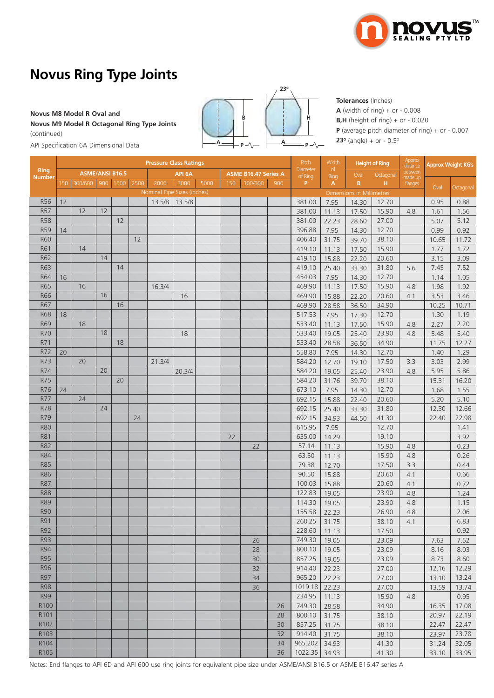

#### **Novus M8 Model R Oval and**

**Novus M9 Model R Octagonal Ring Type Joints**  (continued)

**A B <sup>P</sup> <sup>A</sup> H P 23O**

**Tolerances** (Inches) **A** (width of ring) + or - 0.008 **B,H** (height of ring) + or - 0.020 **P** (average pitch diameter of ring) + or - 0.007 **23<sup>o</sup>** (angle) + or -  $0.5^{\circ}$ 

API Specification 6A Dimensional Data

|                       |     | <b>Pressure Class Ratings</b> |    |          |      |                             |        |      |     |                             |     |                     | Width      |                           | <b>Height of Ring</b> | Approx<br>distance | <b>Approx Weight KG's</b> |           |
|-----------------------|-----|-------------------------------|----|----------|------|-----------------------------|--------|------|-----|-----------------------------|-----|---------------------|------------|---------------------------|-----------------------|--------------------|---------------------------|-----------|
| <b>Ring</b><br>Number |     | <b>ASME/ANSI B16.5</b>        |    |          |      |                             | API 6A |      |     | <b>ASME B16.47 Series A</b> |     | Diameter<br>of Ring | of<br>Ring | Oval                      | Octagonal             | between<br>made up |                           |           |
|                       | 150 | 300/600                       |    | 900 1500 | 2500 | 2000                        | 3000   | 5000 | 150 | 300/600                     | 900 | P.                  | A          | B                         | H.                    | flanges            | Oval                      |           |
|                       |     |                               |    |          |      | Nominal Pipe Sizes (inches) |        |      |     |                             |     |                     |            | Dimensions in Millimetres |                       |                    |                           | Octagonal |
| R56                   | 12  |                               |    |          |      | 13.5/8                      | 13.5/8 |      |     |                             |     | 381.00              | 7.95       | 14.30                     | 12.70                 |                    | 0.95                      | 0.88      |
| <b>R57</b>            |     | 12                            | 12 |          |      |                             |        |      |     |                             |     | 381.00              | 11.13      | 17.50                     | 15.90                 | 4.8                | 1.61                      | 1.56      |
| <b>R58</b>            |     |                               |    | 12       |      |                             |        |      |     |                             |     | 381.00              | 22.23      | 28.60                     | 27.00                 |                    | 5.07                      | 5.12      |
| <b>R59</b>            | 14  |                               |    |          |      |                             |        |      |     |                             |     | 396.88              | 7.95       | 14.30                     | 12.70                 |                    | 0.99                      | 0.92      |
| <b>R60</b>            |     |                               |    |          | 12   |                             |        |      |     |                             |     | 406.40              | 31.75      | 39.70                     | 38.10                 |                    | 10.65                     | 11.72     |
| R61                   |     | 14                            |    |          |      |                             |        |      |     |                             |     | 419.10              | 11.13      | 17.50                     | 15.90                 |                    | 1.77                      | 1.72      |
| <b>R62</b>            |     |                               | 14 |          |      |                             |        |      |     |                             |     | 419.10              | 15.88      | 22.20                     | 20.60                 |                    | 3.15                      | 3.09      |
| R63                   |     |                               |    | 14       |      |                             |        |      |     |                             |     | 419.10              | 25.40      | 33.30                     | 31.80                 | 5.6                | 7.45                      | 7.52      |
| <b>R64</b>            | 16  |                               |    |          |      |                             |        |      |     |                             |     | 454.03              | 7.95       | 14.30                     | 12.70                 |                    | 1.14                      | 1.05      |
| <b>R65</b>            |     | 16                            |    |          |      | 16.3/4                      |        |      |     |                             |     | 469.90              | 11.13      | 17.50                     | 15.90                 | 4.8                | 1.98                      | 1.92      |
| <b>R66</b>            |     |                               | 16 |          |      |                             | 16     |      |     |                             |     | 469.90              | 15.88      | 22.20                     | 20.60                 | 4.1                | 3.53                      | 3.46      |
| R67                   |     |                               |    | 16       |      |                             |        |      |     |                             |     | 469.90              | 28.58      | 36.50                     | 34.90                 |                    | 10.25                     | 10.71     |
| <b>R68</b>            | 18  |                               |    |          |      |                             |        |      |     |                             |     | 517.53              | 7.95       | 17.30                     | 12.70                 |                    | 1.30                      | 1.19      |
| <b>R69</b>            |     | 18                            |    |          |      |                             |        |      |     |                             |     | 533.40              | 11.13      | 17.50                     | 15.90                 | 4.8                | 2.27                      | 2.20      |
| <b>R70</b>            |     |                               | 18 |          |      |                             | 18     |      |     |                             |     | 533.40              | 19.05      | 25.40                     | 23.90                 | 4.8                | 5.48                      | 5.40      |
| R71                   |     |                               |    | 18       |      |                             |        |      |     |                             |     | 533.40              | 28.58      | 36.50                     | 34.90                 |                    | 11.75                     | 12.27     |
| R72                   | 20  |                               |    |          |      |                             |        |      |     |                             |     | 558.80              | 7.95       | 14.30                     | 12.70                 |                    | 1.40                      | 1.29      |
| R73                   |     | 20                            |    |          |      | 21.3/4                      |        |      |     |                             |     | 584.20              | 12.70      | 19.10                     | 17.50                 | 3.3                | 3.03                      | 2.99      |
| R74                   |     |                               | 20 |          |      |                             | 20.3/4 |      |     |                             |     | 584.20              | 19.05      | 25.40                     | 23.90                 | 4.8                | 5.95                      | 5.86      |
| <b>R75</b>            |     |                               |    | 20       |      |                             |        |      |     |                             |     | 584.20              | 31.76      | 39.70                     | 38.10                 |                    | 15.31                     | 16.20     |
| R76                   | 24  |                               |    |          |      |                             |        |      |     |                             |     | 673.10              | 7.95       | 14.30                     | 12.70                 |                    | 1.68                      | 1.55      |
| <b>R77</b>            |     | 24                            |    |          |      |                             |        |      |     |                             |     | 692.15              | 15.88      | 22.40                     | 20.60                 |                    | 5.20                      | 5.10      |
| <b>R78</b>            |     |                               | 24 |          |      |                             |        |      |     |                             |     | 692.15              | 25.40      | 33.30                     | 31.80                 |                    | 12.30                     | 12.66     |
| R79                   |     |                               |    |          | 24   |                             |        |      |     |                             |     | 692.15              | 34.93      | 44.50                     | 41.30                 |                    | 22.40                     | 22.98     |
| <b>R80</b>            |     |                               |    |          |      |                             |        |      |     |                             |     | 615.95              | 7.95       |                           | 12.70                 |                    |                           | 1.41      |
| <b>R81</b>            |     |                               |    |          |      |                             |        |      | 22  |                             |     | 635.00              | 14.29      |                           | 19.10                 |                    |                           | 3.92      |
| <b>R82</b>            |     |                               |    |          |      |                             |        |      |     | 22                          |     | 57.14               | 11.13      |                           | 15.90                 | 4.8                |                           | 0.23      |
| <b>R84</b>            |     |                               |    |          |      |                             |        |      |     |                             |     | 63.50               | 11.13      |                           | 15.90                 | 4.8                |                           | 0.26      |
| <b>R85</b>            |     |                               |    |          |      |                             |        |      |     |                             |     | 79.38               | 12.70      |                           | 17.50                 | 3.3                |                           | 0.44      |
| <b>R86</b>            |     |                               |    |          |      |                             |        |      |     |                             |     | 90.50               | 15.88      |                           | 20.60                 | 4.1                |                           | 0.66      |
| <b>R87</b>            |     |                               |    |          |      |                             |        |      |     |                             |     | 100.03              | 15.88      |                           | 20.60                 | 4.1                |                           | 0.72      |
| <b>R88</b>            |     |                               |    |          |      |                             |        |      |     |                             |     | 122.83              | 19.05      |                           | 23.90                 | 4.8                |                           | 1.24      |
| <b>R89</b>            |     |                               |    |          |      |                             |        |      |     |                             |     | 114.30              | 19.05      |                           | 23.90                 | 4.8                |                           | 1.15      |
| <b>R90</b>            |     |                               |    |          |      |                             |        |      |     |                             |     | 155.58              | 22.23      |                           | 26.90                 | 4.8                |                           | 2.06      |
| <b>R91</b>            |     |                               |    |          |      |                             |        |      |     |                             |     | 260.25              | 31.75      |                           | 38.10                 | 4.1                |                           | 6.83      |
| <b>R92</b>            |     |                               |    |          |      |                             |        |      |     |                             |     | 228.60              | 11.13      |                           | 17.50                 |                    |                           | 0.92      |
| R93                   |     |                               |    |          |      |                             |        |      |     | 26                          |     | 749.30              | 19.05      |                           | 23.09                 |                    | 7.63                      | 7.52      |
| <b>R94</b>            |     |                               |    |          |      |                             |        |      |     | 28                          |     | 800.10              | 19.05      |                           | 23.09                 |                    | 8.16                      | 8.03      |
| <b>R95</b>            |     |                               |    |          |      |                             |        |      |     | 30                          |     | 857.25              | 19.05      |                           | 23.09                 |                    | 8.73                      | 8.60      |
| <b>R96</b>            |     |                               |    |          |      |                             |        |      |     | 32                          |     | 914.40              | 22.23      |                           | 27.00                 |                    | 12.16                     | 12.29     |
| <b>R97</b>            |     |                               |    |          |      |                             |        |      |     | 34                          |     | 965.20              | 22.23      |                           | 27.00                 |                    | 13.10                     | 13.24     |
| <b>R98</b>            |     |                               |    |          |      |                             |        |      |     | 36                          |     | 1019.18             | 22.23      |                           | 27.00                 |                    | 13.59                     | 13.74     |
| <b>R99</b>            |     |                               |    |          |      |                             |        |      |     |                             |     | 234.95              | 11.13      |                           | 15.90                 | 4.8                |                           | 0.95      |
| R <sub>100</sub>      |     |                               |    |          |      |                             |        |      |     |                             | 26  | 749.30              | 28.58      |                           | 34.90                 |                    | 16.35                     | 17.08     |
| R101                  |     |                               |    |          |      |                             |        |      |     |                             | 28  | 800.10              | 31.75      |                           | 38.10                 |                    | 20.97                     | 22.19     |
| R <sub>102</sub>      |     |                               |    |          |      |                             |        |      |     |                             | 30  | 857.25              | 31.75      |                           | 38.10                 |                    | 22.47                     | 22.47     |
| R103                  |     |                               |    |          |      |                             |        |      |     |                             | 32  | 914.40              | 31.75      |                           | 38.10                 |                    | 23.97                     | 23.78     |
| R104                  |     |                               |    |          |      |                             |        |      |     |                             | 34  | 965.202             | 34.93      |                           | 41.30                 |                    | 31.24                     | 32.05     |
| R105                  |     |                               |    |          |      |                             |        |      |     |                             | 36  | 1022.35 34.93       |            |                           | 41.30                 |                    | 33.10                     | 33.95     |
|                       |     |                               |    |          |      |                             |        |      |     |                             |     |                     |            |                           |                       |                    |                           |           |

Notes: End flanges to API 6D and API 600 use ring joints for equivalent pipe size under ASME/ANSI B16.5 or ASME B16.47 series A